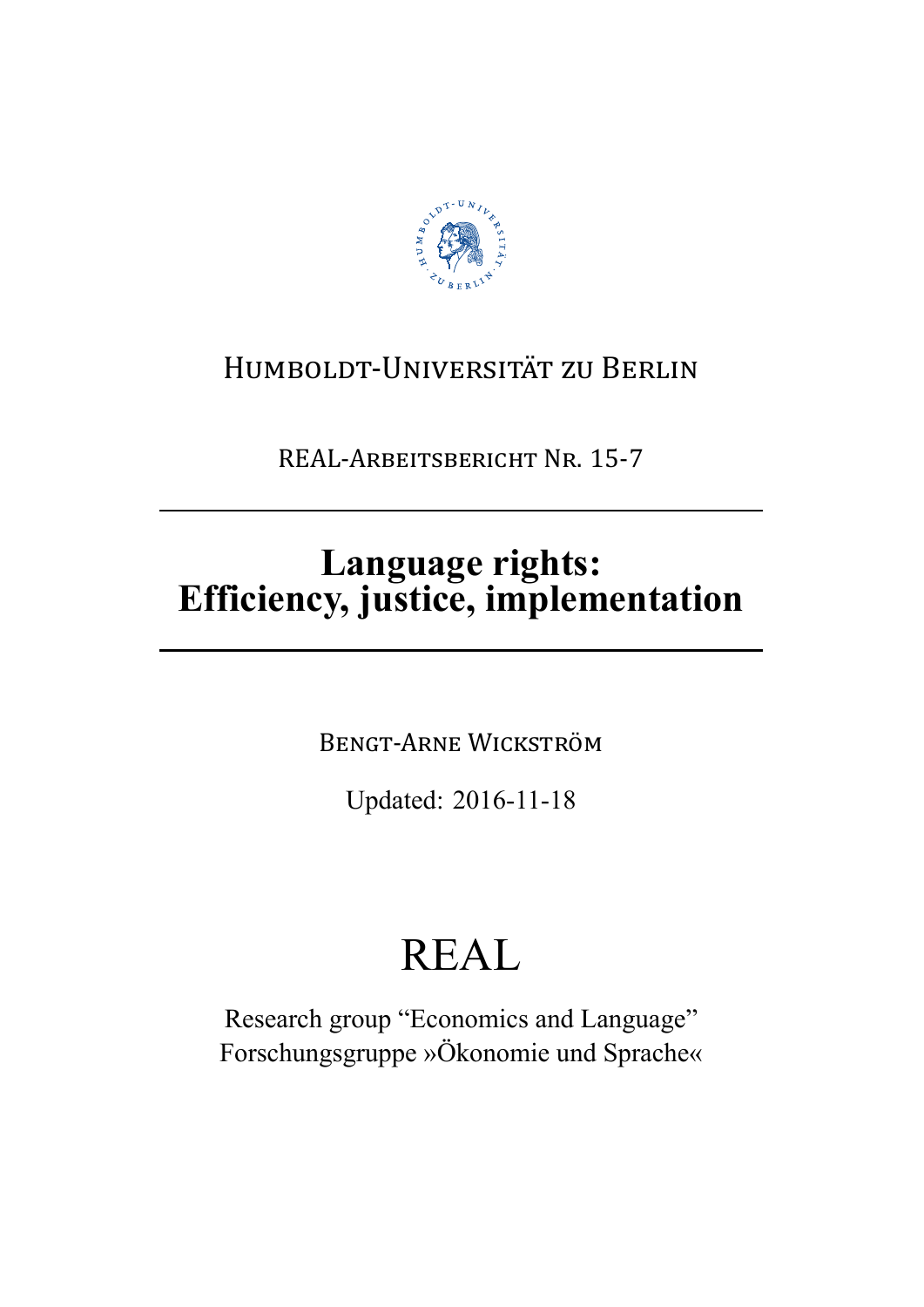

## HUMBOLDT-UNIVERSITÄT ZU BERLIN

REAL-ARBEITSBERICHT NR. 15-7

# Language rights:<br>Efficiency, justice, implementation

**BENGT-ARNE WICKSTRÖM** 

Updated: 2016-11-18

# **REAL**

Research group "Economics and Language" Forschungsgruppe »Ökonomie und Sprache«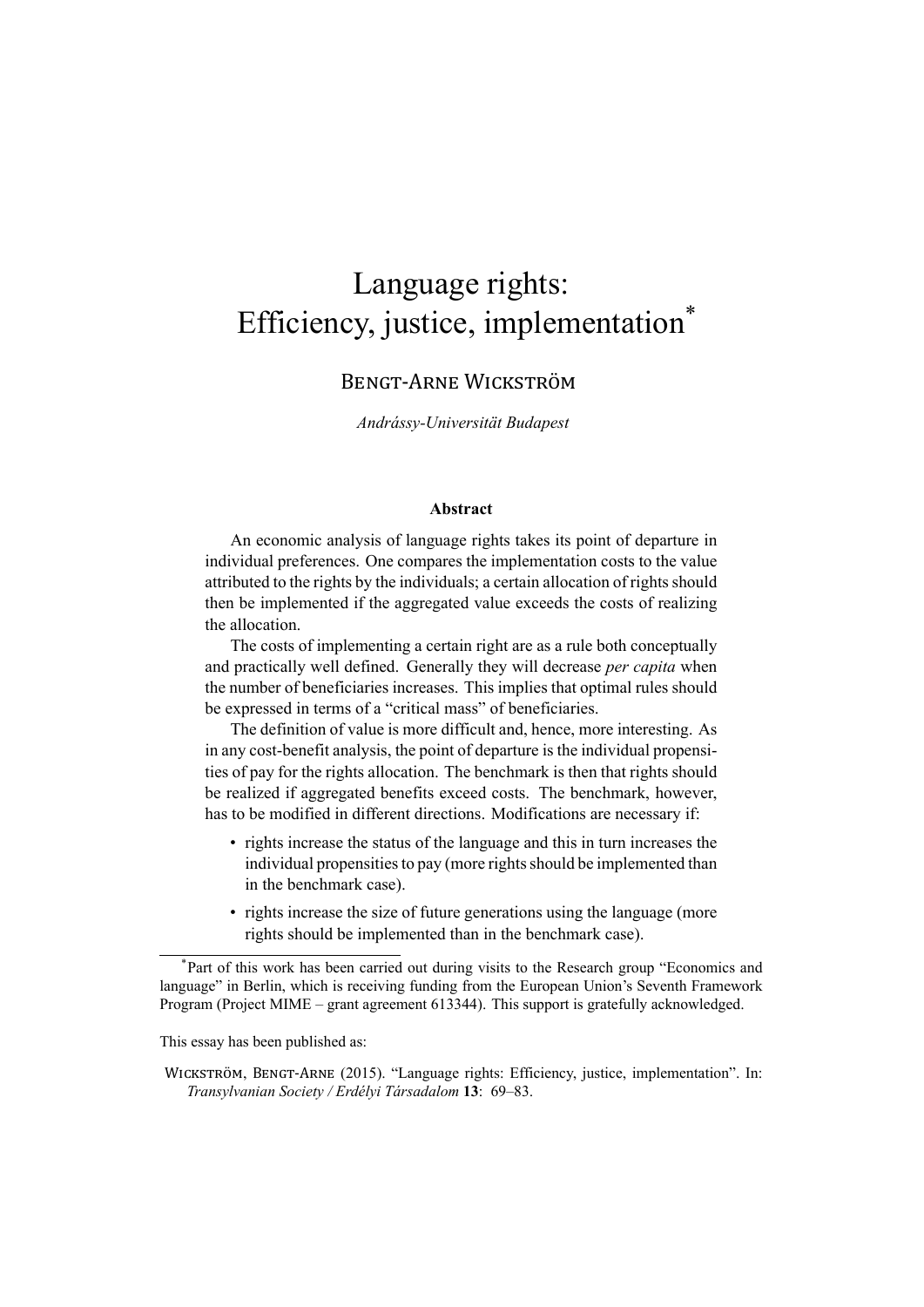### Language rights: Efficiency, justice, implementation\*

#### BENGT-ARNE WICKSTRÖM

*Andrássy-Universität Budapest*

#### **Abstract**

An economic analysis of language rights takes its point of departure in individual preferences. One compares the implementation costs to the value attributed to the rights by the individuals; a certain allocation of rights should then be implemented if the aggregated value exceeds the costs of realizing the allocation.

The costs of implementing a certain right are as a rule both conceptually and practically well defined. Generally they will decrease *per capita* when the number of beneficiaries increases. This implies that optimal rules should be expressed in terms of a "critical mass" of beneficiaries.

The definition of value is more difficult and, hence, more interesting. As in any cost-benefit analysis, the point of departure is the individual propensities of pay for the rights allocation. The benchmark is then that rights should be realized if aggregated benefits exceed costs. The benchmark, however, has to be modified in different directions. Modifications are necessary if:

- rights increase the status of the language and this in turn increases the individual propensities to pay (more rights should be implemented than in the benchmark case).
- rights increase the size of future generations using the language (more rights should be implemented than in the benchmark case).

This essay has been published as:

<sup>\*</sup>Part of this work has been carried out during visits to the Research group "Economics and language" in Berlin, which is receiving funding from the European Union's Seventh Framework Program (Project MIME – grant agreement 613344). This support is gratefully acknowledged.

WICKSTRÖM, BENGT-ARNE (2015). "Language rights: Efficiency, justice, implementation". In: *Transylvanian Society / Erdélyi Társadalom* **13**: 69–83.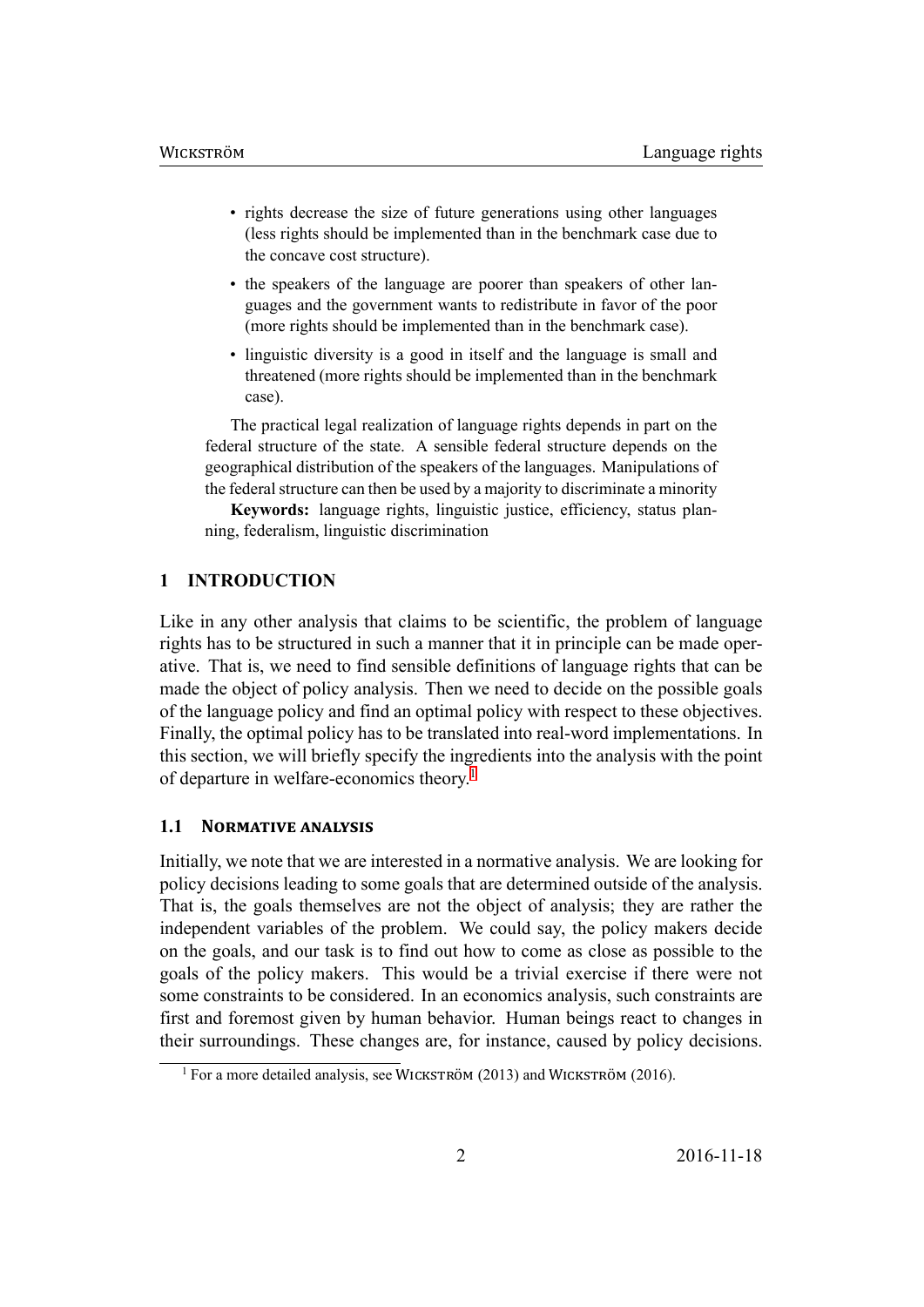- rights decrease the size of future generations using other languages (less rights should be implemented than in the benchmark case due to the concave cost structure).
- the speakers of the language are poorer than speakers of other languages and the government wants to redistribute in favor of the poor (more rights should be implemented than in the benchmark case).
- linguistic diversity is a good in itself and the language is small and threatened (more rights should be implemented than in the benchmark case).

The practical legal realization of language rights depends in part on the federal structure of the state. A sensible federal structure depends on the geographical distribution of the speakers of the languages. Manipulations of the federal structure can then be used by a majority to discriminate a minority

**Keywords:** language rights, linguistic justice, efficiency, status planning, federalism, linguistic discrimination

#### **1 INTRODUCTION**

Like in any other analysis that claims to be scientific, the problem of language rights has to be structured in such a manner that it in principle can be made operative. That is, we need to find sensible definitions of language rights that can be made the object of policy analysis. Then we need to decide on the possible goals of the language policy and find an optimal policy with respect to these objectives. Finally, the optimal policy has to be translated into real-word implementations. In this section, we will briefly specify the ingredients into the analysis with the point of departure in welfare-economics theory.<sup>1</sup>

#### **1.1 NORMATIVE ANALYSIS**

Initially, we note that we are interested in [a](#page-2-0) normative analysis. We are looking for policy decisions leading to some goals that are determined outside of the analysis. That is, the goals themselves are not the object of analysis; they are rather the independent variables of the problem. We could say, the policy makers decide on the goals, and our task is to find out how to come as close as possible to the goals of the policy makers. This would be a trivial exercise if there were not some constraints to be considered. In an economics analysis, such constraints are first and foremost given by human behavior. Human beings react to changes in their surroundings. These changes are, for instance, caused by policy decisions.

<span id="page-2-0"></span><sup>&</sup>lt;sup>1</sup> For a more detailed analysis, see WICKSTRÖM (2013) and WICKSTRÖM (2016).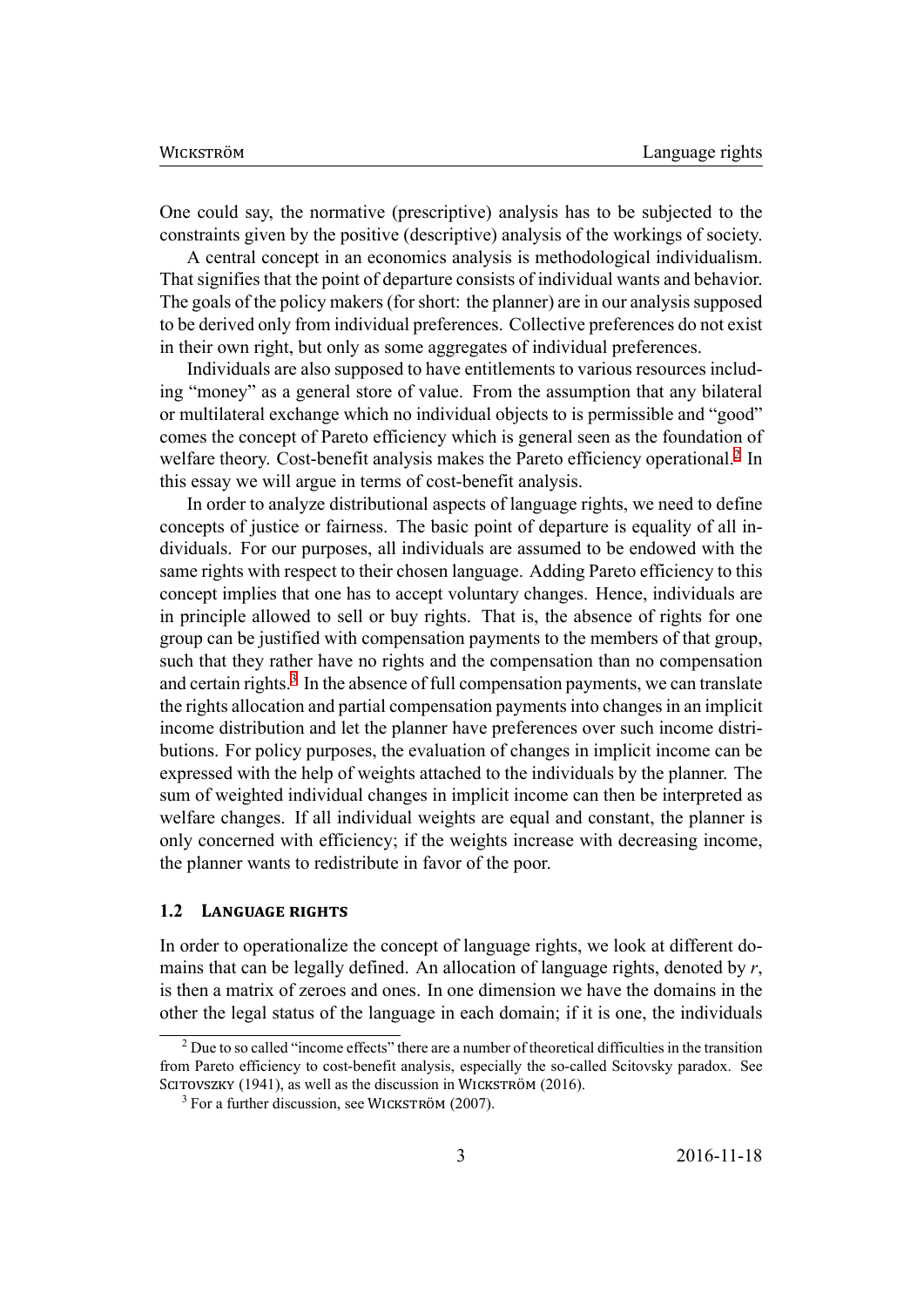One could say, the normative (prescriptive) analysis has to be subjected to the constraints given by the positive (descriptive) analysis of the workings of society.

A central concept in an economics analysis is methodological individualism. That signifies that the point of departure consists of individual wants and behavior. The goals of the policy makers (for short: the planner) are in our analysis supposed to be derived only from individual preferences. Collective preferences do not exist in their own right, but only as some aggregates of individual preferences.

Individuals are also supposed to have entitlements to various resources including "money" as a general store of value. From the assumption that any bilateral or multilateral exchange which no individual objects to is permissible and "good" comes the concept of Pareto efficiency which is general seen as the foundation of welfare theory. Cost-benefit analysis makes the Pareto efficiency operational.<sup>2</sup> In this essay we will argue in terms of cost-benefit analysis.

In order to analyze distributional aspects of language rights, we need to define concepts of justice or fairness. The basic point of departure is equality of al[l](#page-3-0) individuals. For our purposes, all individuals are assumed to be endowed with the same rights with respect to their chosen language. Adding Pareto efficiency to this concept implies that one has to accept voluntary changes. Hence, individuals are in principle allowed to sell or buy rights. That is, the absence of rights for one group can be justified with compensation payments to the members of that group, such that they rather have no rights and the compensation than no compensation and certain rights.<sup>3</sup> In the absence of full compensation payments, we can translate the rights allocation and partial compensation payments into changes in an implicit income distribution and let the planner have preferences over such income distributions. For poli[cy](#page-3-1) purposes, the evaluation of changes in implicit income can be expressed with the help of weights attached to the individuals by the planner. The sum of weighted individual changes in implicit income can then be interpreted as welfare changes. If all individual weights are equal and constant, the planner is only concerned with efficiency; if the weights increase with decreasing income, the planner wants to redistribute in favor of the poor.

#### **1.2 LANGUAGE RIGHTS**

In order to operationalize the concept of language rights, we look at different domains that can be legally defined. An allocation of language rights, denoted by *r*, is then a matrix of zeroes and ones. In one dimension we have the domains in the other the legal status of the language in each domain; if it is one, the individuals

<sup>2</sup> Due to so called "income effects" there are a number of theoretical difficulties in the transition from Pareto efficiency to cost-benefit analysis, especially the so-called Scitovsky paradox. See SCITOVSZKY (1941), as well as the discussion in WICKSTRÖM (2016).

<span id="page-3-1"></span><span id="page-3-0"></span> $3$  For a further discussion, see WICKSTRÖM (2007).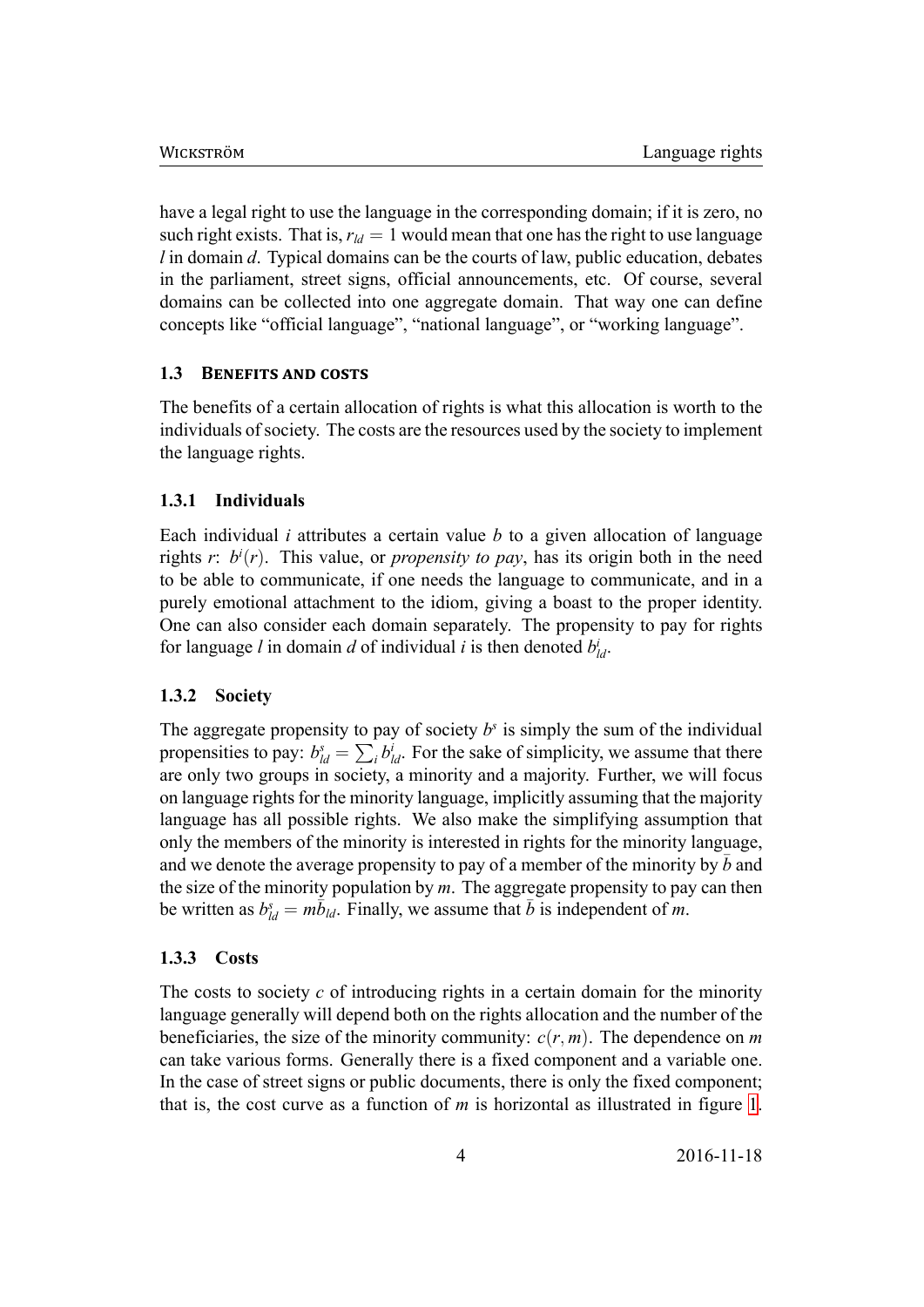have a legal right to use the language in the corresponding domain; if it is zero, no such right exists. That is,  $r_{ld} = 1$  would mean that one has the right to use language *l* in domain *d*. Typical domains can be the courts of law, public education, debates in the parliament, street signs, official announcements, etc. Of course, several domains can be collected into one aggregate domain. That way one can define concepts like "official language", "national language", or "working language".

#### **1.3 BENEFITS AND COSTS**

The benefits of a certain allocation of rights is what this allocation is worth to the individuals of society. The costs are the resources used by the society to implement the language rights.

#### **1.3.1 Individuals**

Each individual *i* attributes a certain value *b* to a given allocation of language rights  $r: b^i(r)$ . This value, or *propensity to pay*, has its origin both in the need to be able to communicate, if one needs the language to communicate, and in a purely emotional attachment to the idiom, giving a boast to the proper identity. One can also consider each domain separately. The propensity to pay for rights for language *l* in domain *d* of individual *i* is then denoted  $b_{ld}^i$ .

#### **1.3.2 Society**

The aggregate propensity to pay of society  $b<sup>s</sup>$  is simply the sum of the individual propensities to pay:  $b_{ld}^s = \sum_i b_{ld}^i$ . For the sake of simplicity, we assume that there are only two groups in society, a minority and a majority. Further, we will focus on language rights for the minority language, implicitly assuming that the majority language has all possible rights. We also make the simplifying assumption that only the members of the minority is interested in rights for the minority language, and we denote the average propensity to pay of a member of the minority by  $\bar{b}$  and the size of the minority population by *m*. The aggregate propensity to pay can then be written as  $b_{ld}^s = m\bar{b}_{ld}$ . Finally, we assume that  $\bar{b}$  is independent of *m*.

#### **1.3.3 Costs**

The costs to society *c* of introducing rights in a certain domain for the minority language generally will depend both on the rights allocation and the number of the beneficiaries, the size of the minority community:  $c(r, m)$ . The dependence on *m* can take various forms. Generally there is a fixed component and a variable one. In the case of street signs or public documents, there is only the fixed component; that is, the cost curve as a function of *m* is horizontal as illustrated in figure 1.

4 2016-11-18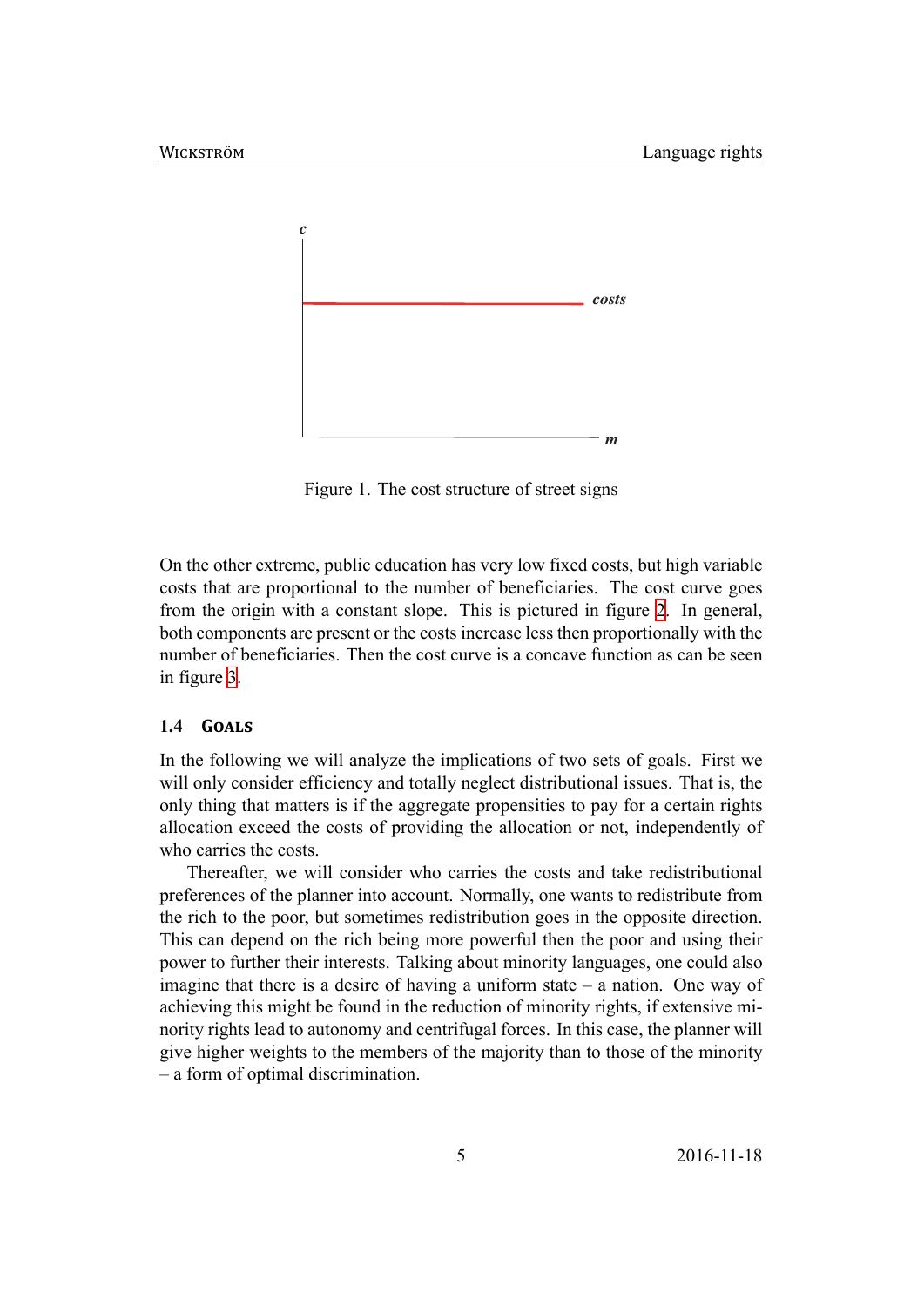

Figure 1. The cost structure of street signs

On the other extreme, public education has very low fixed costs, but high variable costs that are proportional to the number of beneficiaries. The cost curve goes from the origin with a constant slope. This is pictured in figure 2. In general, both components are present or the costs increase less then proportionally with the number of beneficiaries. Then the cost curve is a concave function as can be seen in figure 3.

#### 1.4 **GOALS**

In the fo[llo](#page-6-0)wing we will analyze the implications of two sets of goals. First we will only consider efficiency and totally neglect distributional issues. That is, the only thing that matters is if the aggregate propensities to pay for a certain rights allocation exceed the costs of providing the allocation or not, independently of who carries the costs.

Thereafter, we will consider who carries the costs and take redistributional preferences of the planner into account. Normally, one wants to redistribute from the rich to the poor, but sometimes redistribution goes in the opposite direction. This can depend on the rich being more powerful then the poor and using their power to further their interests. Talking about minority languages, one could also imagine that there is a desire of having a uniform state – a nation. One way of achieving this might be found in the reduction of minority rights, if extensive minority rights lead to autonomy and centrifugal forces. In this case, the planner will give higher weights to the members of the majority than to those of the minority – a form of optimal discrimination.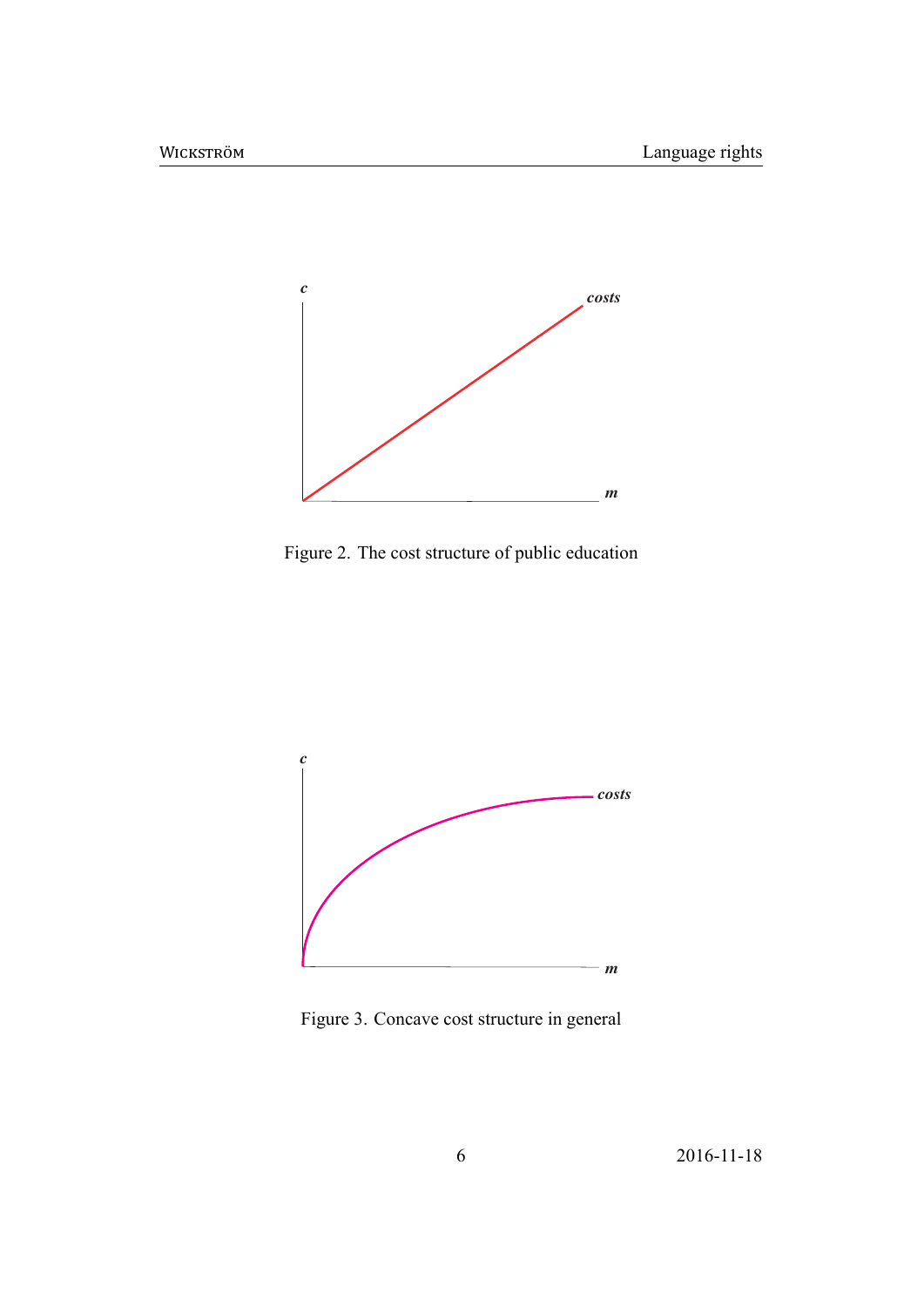

Figure 2. The cost structure of public education

<span id="page-6-0"></span>

Figure 3. Concave cost structure in general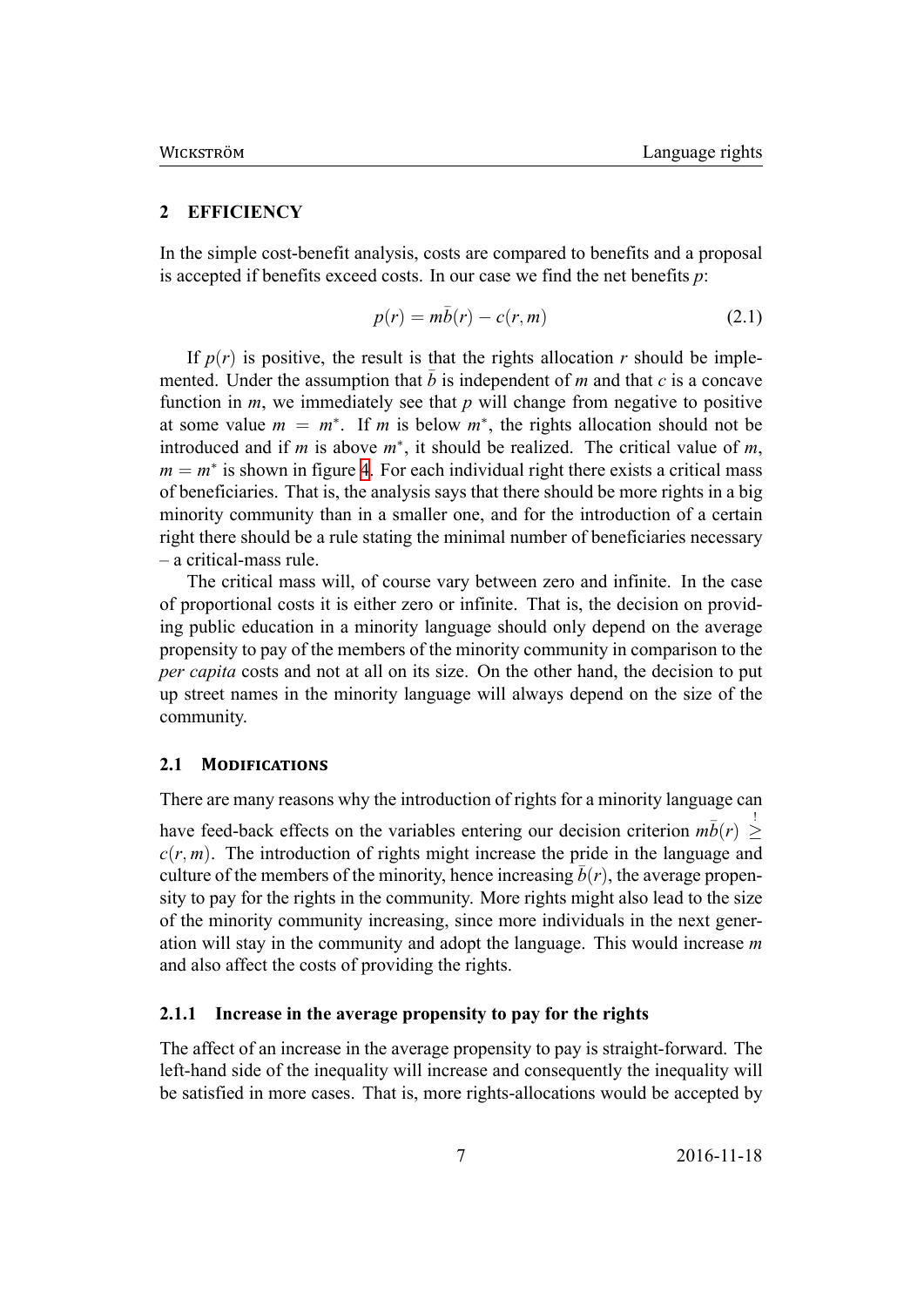#### **2 EFFICIENCY**

<span id="page-7-0"></span>In the simple cost-benefit analysis, costs are compared to benefits and a proposal is accepted if benefits exceed costs. In our case we find the net benefits *p*:

$$
p(r) = m\bar{b}(r) - c(r, m) \tag{2.1}
$$

If  $p(r)$  is positive, the result is that the rights allocation *r* should be implemented. Under the assumption that  $\bar{b}$  is independent of *m* and that  $c$  is a concave function in  $m$ , we immediately see that  $p$  will change from negative to positive at some value  $m = m^*$ . If *m* is below  $m^*$ , the rights allocation should not be introduced and if *m* is above  $m^*$ , it should be realized. The critical value of *m*,  $m = m^*$  is shown in figure 4. For each individual right there exists a critical mass of beneficiaries. That is, the analysis says that there should be more rights in a big minority community than in a smaller one, and for the introduction of a certain right there should be a rule [s](#page-8-0)tating the minimal number of beneficiaries necessary – a critical-mass rule.

The critical mass will, of course vary between zero and infinite. In the case of proportional costs it is either zero or infinite. That is, the decision on providing public education in a minority language should only depend on the average propensity to pay of the members of the minority community in comparison to the *per capita* costs and not at all on its size. On the other hand, the decision to put up street names in the minority language will always depend on the size of the community.

#### **2.1 MODIFICATIONS**

There are many reasons why the introduction of rights for a minority language can have feed-back effects on the variables entering our decision criterion  $m\bar{b}(r) \geq$ *≥*  $c(r, m)$ . The introduction of rights might increase the pride in the language and culture of the members of the minority, hence increasing  $\bar{b}(r)$ , the average propensity to pay for the rights in the community. More rights might also lead to the size of the minority community increasing, since more individuals in the next generation will stay in the community and adopt the language. This would increase *m* and also affect the costs of providing the rights.

#### **2.1.1 Increase in the average propensity to pay for the rights**

The affect of an increase in the average propensity to pay is straight-forward. The left-hand side of the inequality will increase and consequently the inequality will be satisfied in more cases. That is, more rights-allocations would be accepted by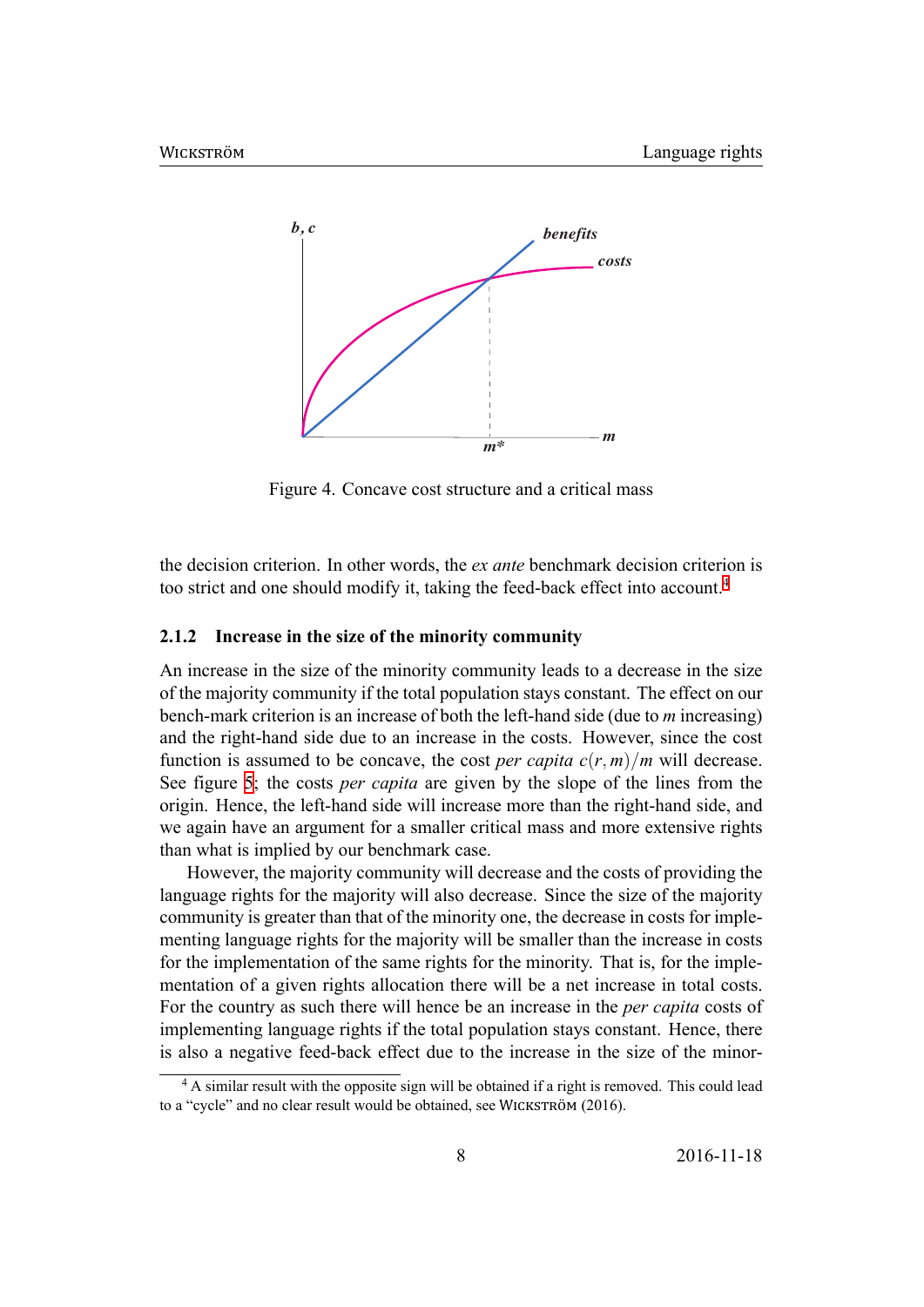<span id="page-8-0"></span>

Figure 4. Concave cost structure and a critical mass

the decision criterion. In other words, the *ex ante* benchmark decision criterion is too strict and one should modify it, taking the feed-back effect into account.<sup>4</sup>

#### **2.1.2 Increase in the size of the minority community**

An increase in the size of the minority community leads to a decrease in th[e](#page-8-1) size of the majority community if the total population stays constant. The effect on our bench-mark criterion is an increase of both the left-hand side (due to *m* increasing) and the right-hand side due to an increase in the costs. However, since the cost function is assumed to be concave, the cost *per capita*  $c(r, m)/m$  will decrease. See figure 5; the costs *per capita* are given by the slope of the lines from the origin. Hence, the left-hand side will increase more than the right-hand side, and we again have an argument for a smaller critical mass and more extensive rights than whati[s](#page-9-0) implied by our benchmark case.

However, the majority community will decrease and the costs of providing the language rights for the majority will also decrease. Since the size of the majority community is greater than that of the minority one, the decrease in costs for implementing language rights for the majority will be smaller than the increase in costs for the implementation of the same rights for the minority. That is, for the implementation of a given rights allocation there will be a net increase in total costs. For the country as such there will hence be an increase in the *per capita* costs of implementing language rights if the total population stays constant. Hence, there is also a negative feed-back effect due to the increase in the size of the minor-

<span id="page-8-1"></span><sup>&</sup>lt;sup>4</sup> A similar result with the opposite sign will be obtained if a right is removed. This could lead to a "cycle" and no clear result would be obtained, see WICKSTRÖM (2016).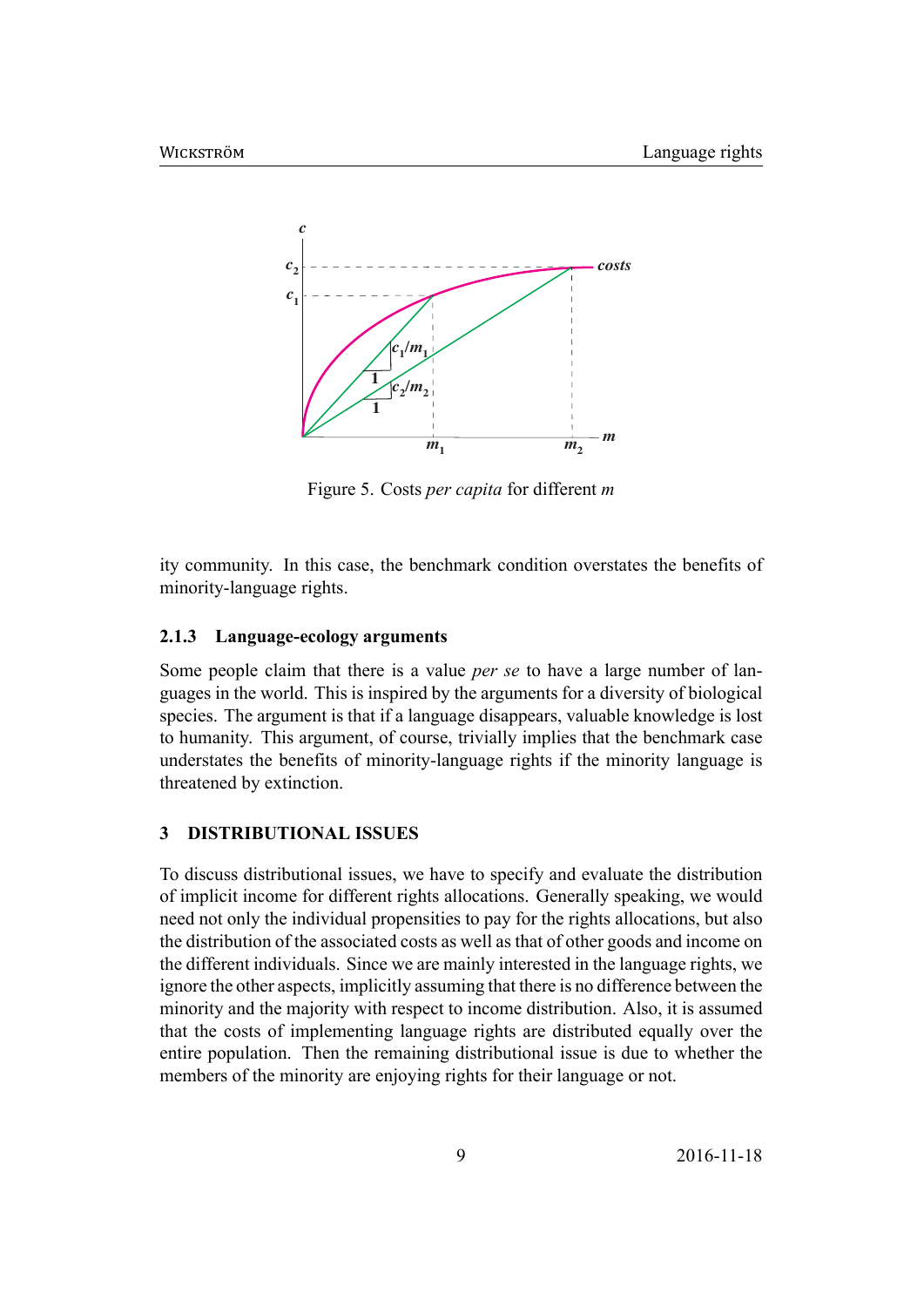<span id="page-9-0"></span>

Figure 5. Costs *per capita* for different *m*

ity community. In this case, the benchmark condition overstates the benefits of minority-language rights.

#### **2.1.3 Language-ecology arguments**

Some people claim that there is a value *per se* to have a large number of languages in the world. This is inspired by the arguments for a diversity of biological species. The argument is that if a language disappears, valuable knowledge is lost to humanity. This argument, of course, trivially implies that the benchmark case understates the benefits of minority-language rights if the minority language is threatened by extinction.

#### **3 DISTRIBUTIONAL ISSUES**

To discuss distributional issues, we have to specify and evaluate the distribution of implicit income for different rights allocations. Generally speaking, we would need not only the individual propensities to pay for the rights allocations, but also the distribution of the associated costs as well as that of other goods and income on the different individuals. Since we are mainly interested in the language rights, we ignore the other aspects, implicitly assuming that there is no difference between the minority and the majority with respect to income distribution. Also, it is assumed that the costs of implementing language rights are distributed equally over the entire population. Then the remaining distributional issue is due to whether the members of the minority are enjoying rights for their language or not.

9 2016-11-18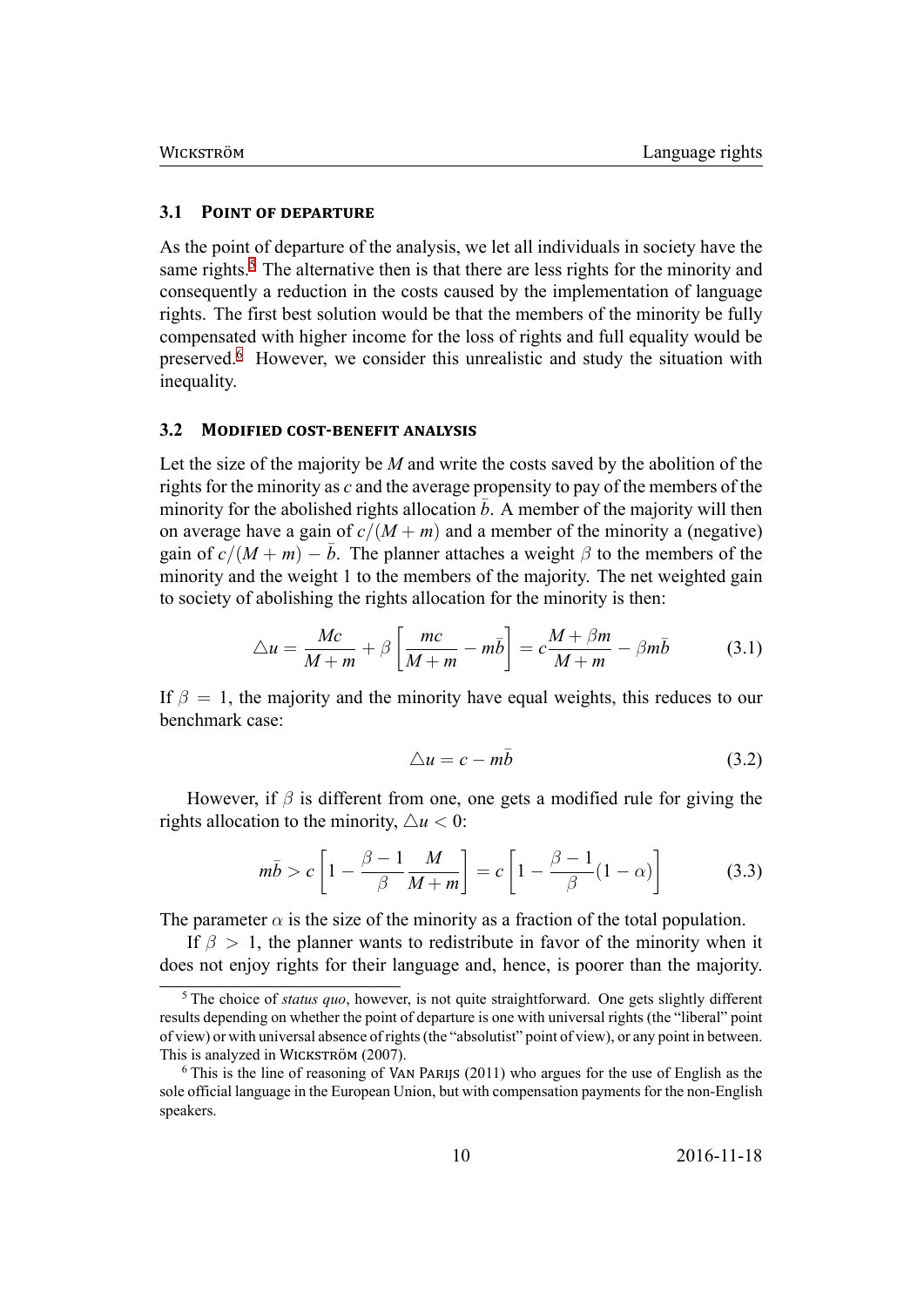#### $3.1$ **POINT OF DEPARTURE**

As the point of departure of the analysis, we let all individuals in society have the same rights.<sup>5</sup> The alternative then is that there are less rights for the minority and consequently a reduction in the costs caused by the implementation of language rights. The first best solution would be that the members of the minority be fully compensated with higher income for the loss of rights and full equality would be preserved.<sup>6</sup> However, we consider this unrealistic and study the situation with inequality.

#### 3.2 MODIFIED COST-BENEFIT ANALYSIS

Let the size of the majority be  $M$  and write the costs saved by the abolition of the rights for the minority as  $c$  and the average propensity to pay of the members of the minority for the abolished rights allocation  $b$ . A member of the majority will then on average have a gain of  $c/(M+m)$  and a member of the minority a (negative) gain of  $c/(M+m) - \overline{b}$ . The planner attaches a weight  $\beta$  to the members of the minority and the weight 1 to the members of the majority. The net weighted gain to society of abolishing the rights allocation for the minority is then:

$$
\triangle u = \frac{Mc}{M+m} + \beta \left[ \frac{mc}{M+m} - m\overline{b} \right] = c\frac{M+\beta m}{M+m} - \beta m\overline{b}
$$
(3.1)

If  $\beta = 1$ , the majority and the minority have equal weights, this reduces to our benchmark case:

$$
\triangle u = c - m\bar{b} \tag{3.2}
$$

However, if  $\beta$  is different from one, one gets a modified rule for giving the rights allocation to the minority,  $\triangle u < 0$ :

$$
m\bar{b} > c \left[ 1 - \frac{\beta - 1}{\beta} \frac{M}{M + m} \right] = c \left[ 1 - \frac{\beta - 1}{\beta} (1 - \alpha) \right]
$$
(3.3)

The parameter  $\alpha$  is the size of the minority as a fraction of the total population.

If  $\beta > 1$ , the planner wants to redistribute in favor of the minority when it does not enjoy rights for their language and, hence, is poorer than the majority.

 $5$  The choice of *status quo*, however, is not quite straightforward. One gets slightly different results depending on whether the point of departure is one with universal rights (the "liberal" point of view) or with universal absence of rights (the "absolutist" point of view), or any point in between. This is analyzed in WICKSTRÖM (2007).

<span id="page-10-1"></span><span id="page-10-0"></span> $6$  This is the line of reasoning of VAN PARIJS (2011) who argues for the use of English as the sole official language in the European Union, but with compensation payments for the non-English speakers.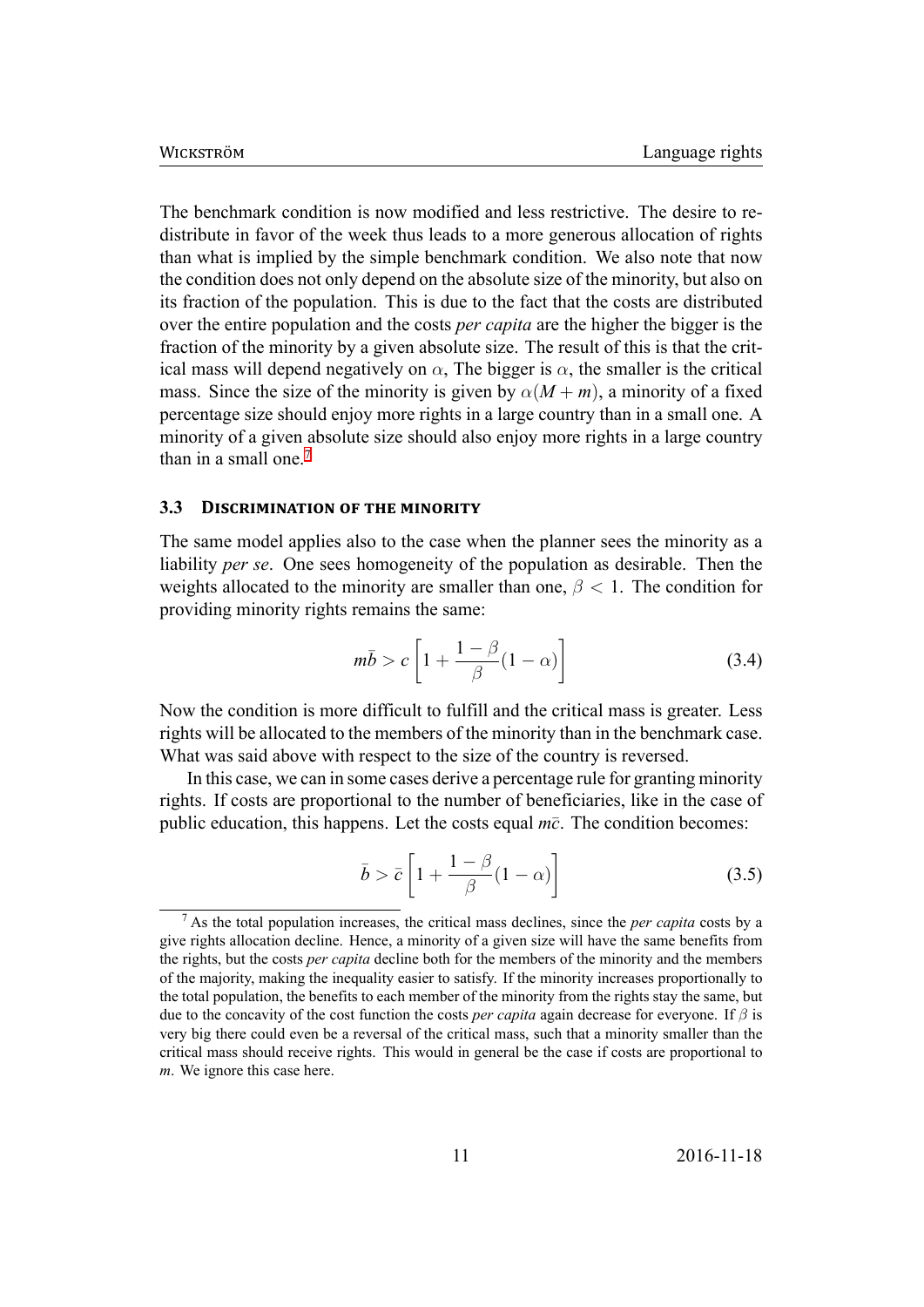The benchmark condition is now modified and less restrictive. The desire to redistribute in favor of the week thus leads to a more generous allocation of rights than what is implied by the simple benchmark condition. We also note that now the condition does not only depend on the absolute size of the minority, but also on its fraction of the population. This is due to the fact that the costs are distributed over the entire population and the costs *per capita* are the higher the bigger is the fraction of the minority by a given absolute size. The result of this is that the critical mass will depend negatively on  $\alpha$ . The bigger is  $\alpha$ , the smaller is the critical mass. Since the size of the minority is given by  $\alpha(M+m)$ , a minority of a fixed percentage size should enjoy more rights in a large country than in a small one. A minority of a given absolute size should also enjoy more rights in a large country than in a small one.<sup>7</sup>

#### $3.3$ **DISCRIMINATION OF THE MINORITY**

The same model applies also to the case when the planner sees the minority as a liability per se. One sees homogeneity of the population as desirable. Then the weights allocated to the minority are smaller than one,  $\beta$  < 1. The condition for providing minority rights remains the same:

$$
m\bar{b} > c \left[ 1 + \frac{1 - \beta}{\beta} (1 - \alpha) \right]
$$
 (3.4)

Now the condition is more difficult to fulfill and the critical mass is greater. Less rights will be allocated to the members of the minority than in the benchmark case. What was said above with respect to the size of the country is reversed.

In this case, we can in some cases derive a percentage rule for granting minority rights. If costs are proportional to the number of beneficiaries, like in the case of public education, this happens. Let the costs equal  $m\bar{c}$ . The condition becomes:

$$
\bar{b} > \bar{c} \left[ 1 + \frac{1 - \beta}{\beta} (1 - \alpha) \right]
$$
 (3.5)

<span id="page-11-0"></span> $<sup>7</sup>$  As the total population increases, the critical mass declines, since the *per capita* costs by a</sup> give rights allocation decline. Hence, a minority of a given size will have the same benefits from the rights, but the costs *per capita* decline both for the members of the minority and the members of the majority, making the inequality easier to satisfy. If the minority increases proportionally to the total population, the benefits to each member of the minority from the rights stay the same, but due to the concavity of the cost function the costs *per capita* again decrease for everyone. If  $\beta$  is very big there could even be a reversal of the critical mass, such that a minority smaller than the critical mass should receive rights. This would in general be the case if costs are proportional to *m*. We ignore this case here.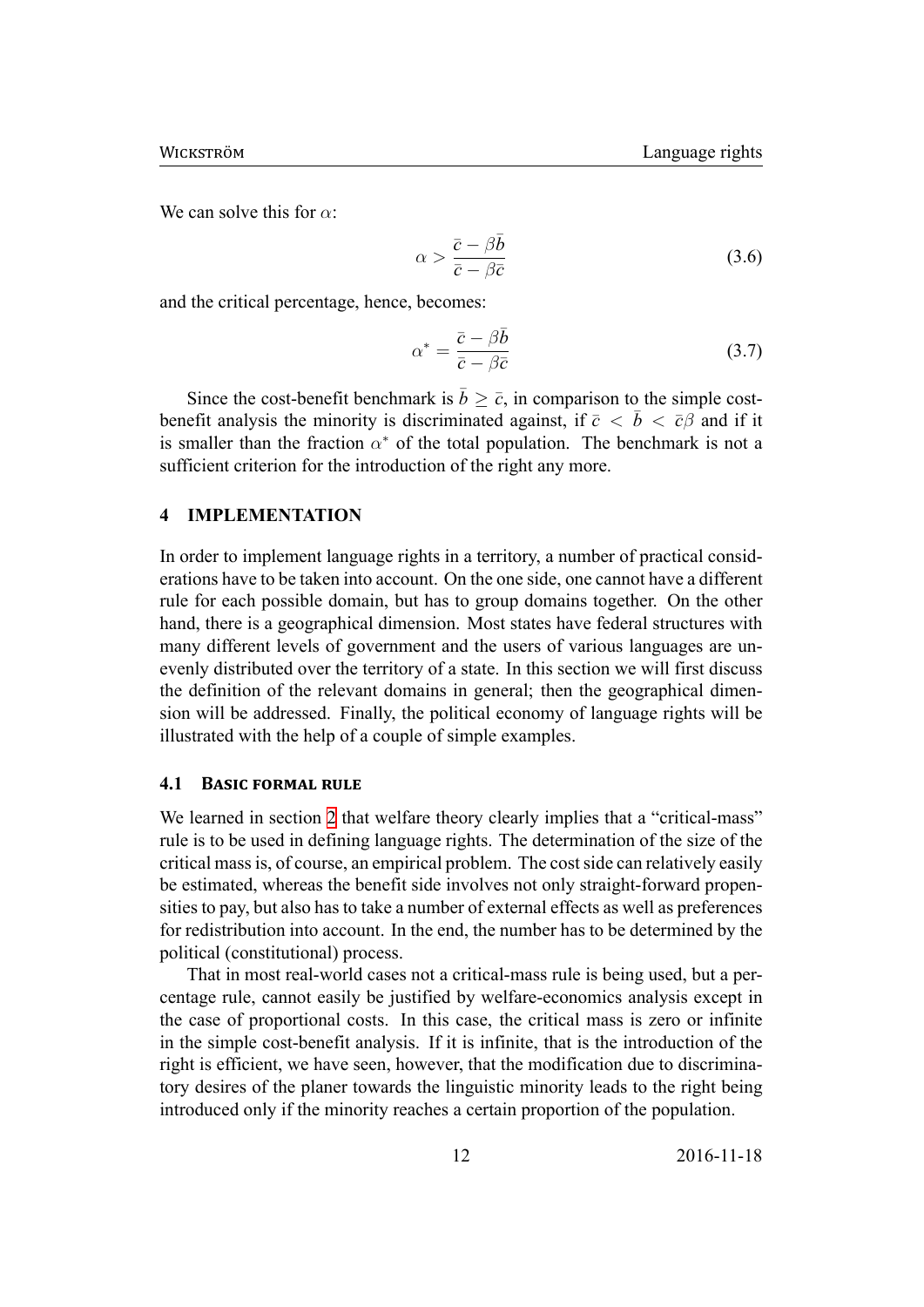We can solve this for *α*:

$$
\alpha > \frac{\bar{c} - \beta \bar{b}}{\bar{c} - \beta \bar{c}} \tag{3.6}
$$

and the critical percentage, hence, becomes:

$$
\alpha^* = \frac{\bar{c} - \beta \bar{b}}{\bar{c} - \beta \bar{c}} \tag{3.7}
$$

Since the cost-benefit benchmark is  $\bar{b} \geq \bar{c}$ , in comparison to the simple costbenefit analysis the minority is discriminated against, if  $\bar{c} < \bar{b} < \bar{c}$  and if it is smaller than the fraction  $\alpha^*$  of the total population. The benchmark is not a sufficient criterion for the introduction of the right any more.

#### **4 IMPLEMENTATION**

In order to implement language rights in a territory, a number of practical considerations have to be taken into account. On the one side, one cannot have a different rule for each possible domain, but has to group domains together. On the other hand, there is a geographical dimension. Most states have federal structures with many different levels of government and the users of various languages are unevenly distributed over the territory of a state. In this section we will first discuss the definition of the relevant domains in general; then the geographical dimension will be addressed. Finally, the political economy of language rights will be illustrated with the help of a couple of simple examples.

#### **4.1 BASIC FORMAL RULE**

We learned in section 2 that welfare theory clearly implies that a "critical-mass" rule is to be used in defining language rights. The determination of the size of the critical mass is, of course, an empirical problem. The cost side can relatively easily be estimated, whereas [th](#page-7-0)e benefit side involves not only straight-forward propensities to pay, but also has to take a number of external effects as well as preferences for redistribution into account. In the end, the number has to be determined by the political (constitutional) process.

That in most real-world cases not a critical-mass rule is being used, but a percentage rule, cannot easily be justified by welfare-economics analysis except in the case of proportional costs. In this case, the critical mass is zero or infinite in the simple cost-benefit analysis. If it is infinite, that is the introduction of the right is efficient, we have seen, however, that the modification due to discriminatory desires of the planer towards the linguistic minority leads to the right being introduced only if the minority reaches a certain proportion of the population.

12 2016-11-18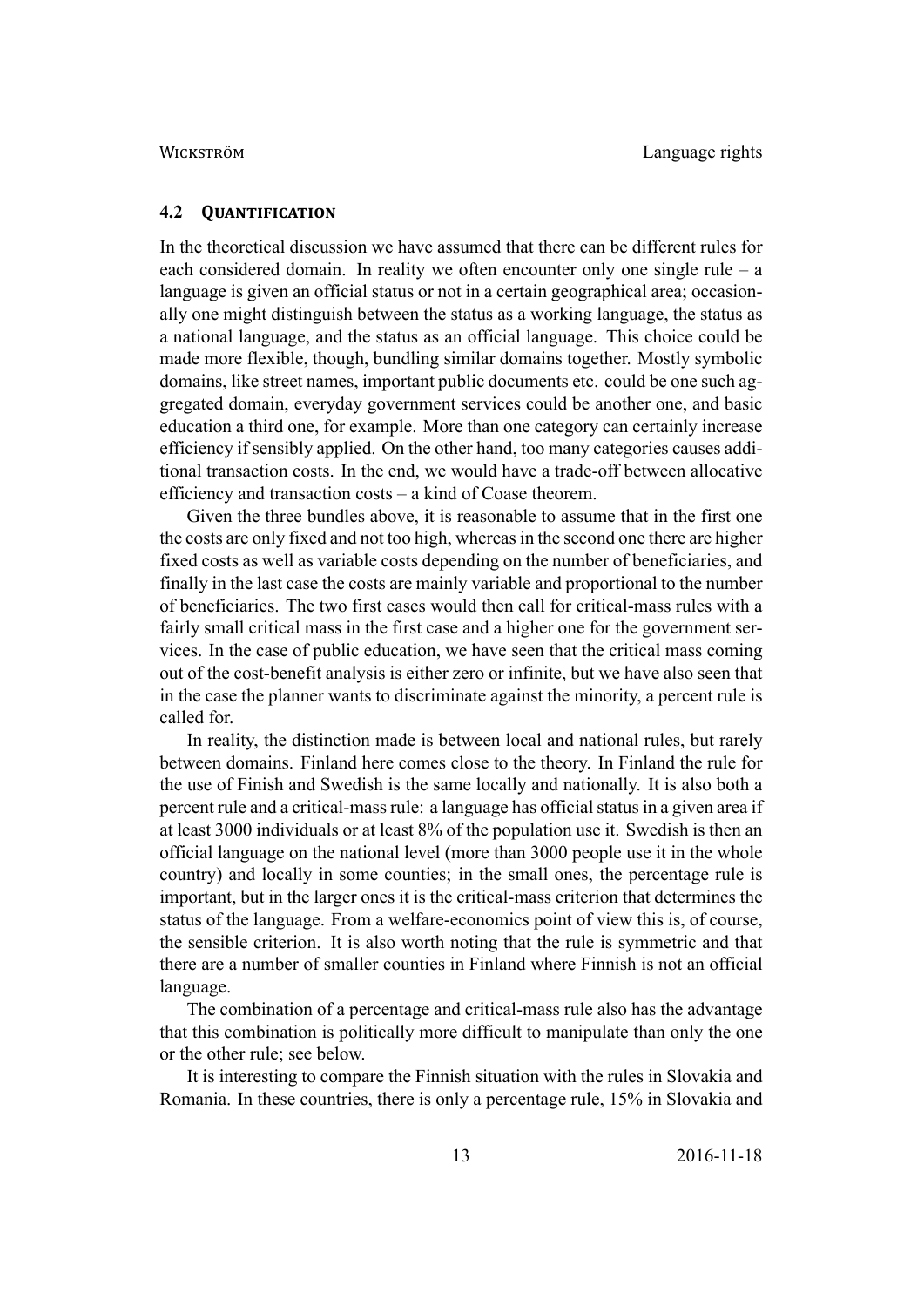#### **4.2 QUANTIFICATION**

In the theoretical discussion we have assumed that there can be different rules for each considered domain. In reality we often encounter only one single rule – a language is given an official status or not in a certain geographical area; occasionally one might distinguish between the status as a working language, the status as a national language, and the status as an official language. This choice could be made more flexible, though, bundling similar domains together. Mostly symbolic domains, like street names, important public documents etc. could be one such aggregated domain, everyday government services could be another one, and basic education a third one, for example. More than one category can certainly increase efficiency if sensibly applied. On the other hand, too many categories causes additional transaction costs. In the end, we would have a trade-off between allocative efficiency and transaction costs – a kind of Coase theorem.

Given the three bundles above, it is reasonable to assume that in the first one the costs are only fixed and not too high, whereas in the second one there are higher fixed costs as well as variable costs depending on the number of beneficiaries, and finally in the last case the costs are mainly variable and proportional to the number of beneficiaries. The two first cases would then call for critical-mass rules with a fairly small critical mass in the first case and a higher one for the government services. In the case of public education, we have seen that the critical mass coming out of the cost-benefit analysis is either zero or infinite, but we have also seen that in the case the planner wants to discriminate against the minority, a percent rule is called for.

In reality, the distinction made is between local and national rules, but rarely between domains. Finland here comes close to the theory. In Finland the rule for the use of Finish and Swedish is the same locally and nationally. It is also both a percent rule and a critical-mass rule: a language has official status in a given area if at least 3000 individuals or at least 8% of the population use it. Swedish is then an official language on the national level (more than 3000 people use it in the whole country) and locally in some counties; in the small ones, the percentage rule is important, but in the larger ones it is the critical-mass criterion that determines the status of the language. From a welfare-economics point of view this is, of course, the sensible criterion. It is also worth noting that the rule is symmetric and that there are a number of smaller counties in Finland where Finnish is not an official language.

The combination of a percentage and critical-mass rule also has the advantage that this combination is politically more difficult to manipulate than only the one or the other rule; see below.

It is interesting to compare the Finnish situation with the rules in Slovakia and Romania. In these countries, there is only a percentage rule, 15% in Slovakia and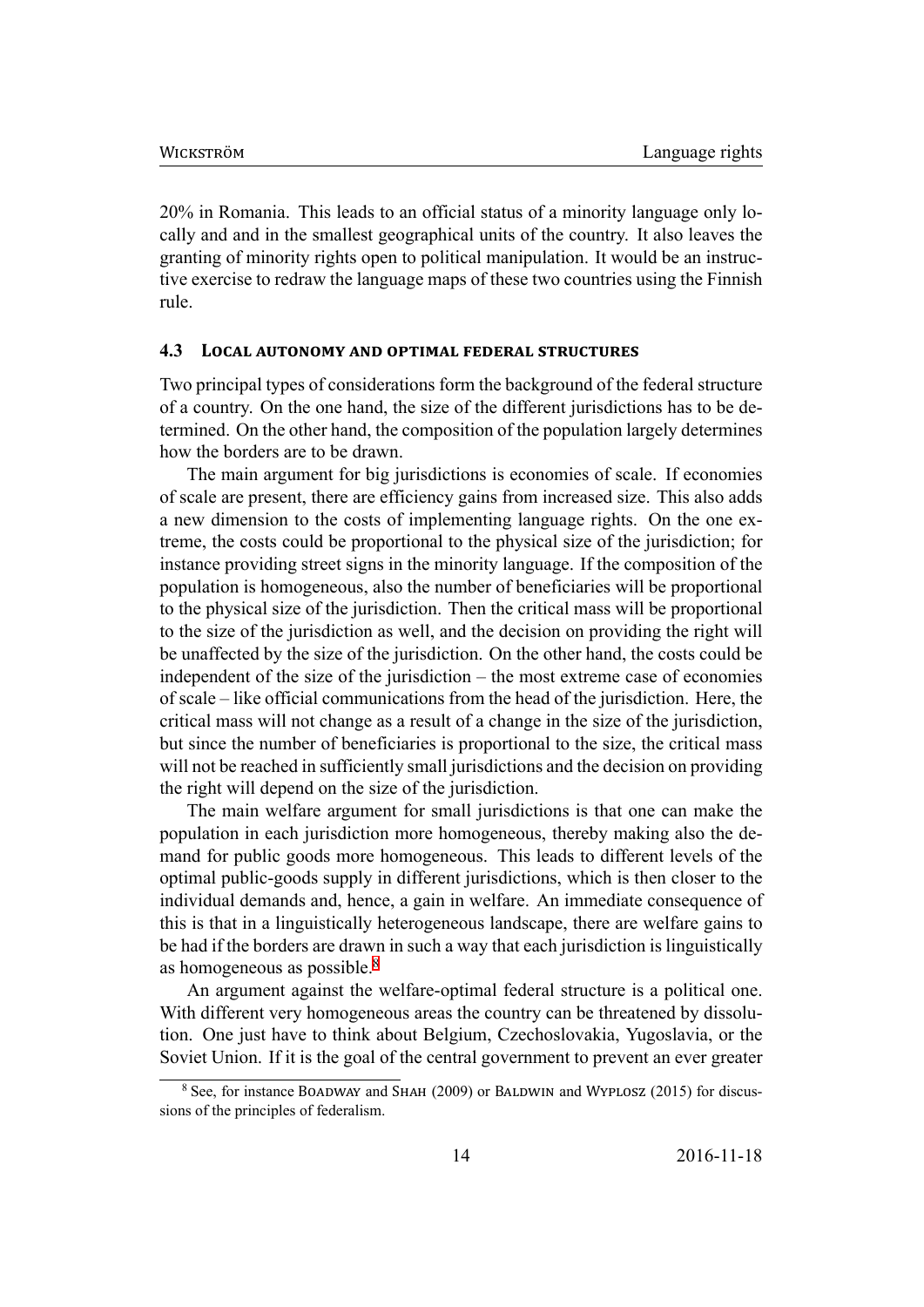20% in Romania. This leads to an official status of a minority language only locally and and in the smallest geographical units of the country. It also leaves the granting of minority rights open to political manipulation. It would be an instructive exercise to redraw the language maps of these two countries using the Finnish rule.

#### 4.3 **LOCAL AUTONOMY AND OPTIMAL FEDERAL STRUCTURES**

Two principal types of considerations form the background of the federal structure of a country. On the one hand, the size of the different jurisdictions has to be determined. On the other hand, the composition of the population largely determines how the borders are to be drawn.

The main argument for big jurisdictions is economies of scale. If economies of scale are present, there are efficiency gains from increased size. This also adds a new dimension to the costs of implementing language rights. On the one extreme, the costs could be proportional to the physical size of the jurisdiction; for instance providing street signs in the minority language. If the composition of the population is homogeneous, also the number of beneficiaries will be proportional to the physical size of the jurisdiction. Then the critical mass will be proportional to the size of the jurisdiction as well, and the decision on providing the right will be unaffected by the size of the jurisdiction. On the other hand, the costs could be independent of the size of the jurisdiction – the most extreme case of economies of scale – like official communications from the head of the jurisdiction. Here, the critical mass will not change as a result of a change in the size of the jurisdiction, but since the number of beneficiaries is proportional to the size, the critical mass will not be reached in sufficiently small jurisdictions and the decision on providing the right will depend on the size of the jurisdiction.

The main welfare argument for small jurisdictions is that one can make the population in each jurisdiction more homogeneous, thereby making also the demand for public goods more homogeneous. This leads to different levels of the optimal public-goods supply in different jurisdictions, which is then closer to the individual demands and, hence, a gain in welfare. An immediate consequence of this is that in a linguistically heterogeneous landscape, there are welfare gains to be had if the borders are drawn in such a way that each jurisdiction is linguistically as homogeneous as possible.<sup>8</sup>

An argument against the welfare-optimal federal structure is a political one. With different very homogeneous areas the country can be threatened by dissolution. One just have to think about Belgium, Czechoslovakia, Yugoslavia, or the Soviet Union. If it is the goal of the central government to prevent an ever greater

<span id="page-14-0"></span><sup>&</sup>lt;sup>8</sup> See, for instance BOADWAY and SHAH (2009) or BALDWIN and WYPLOSZ (2015) for discussions of the principles of federalism.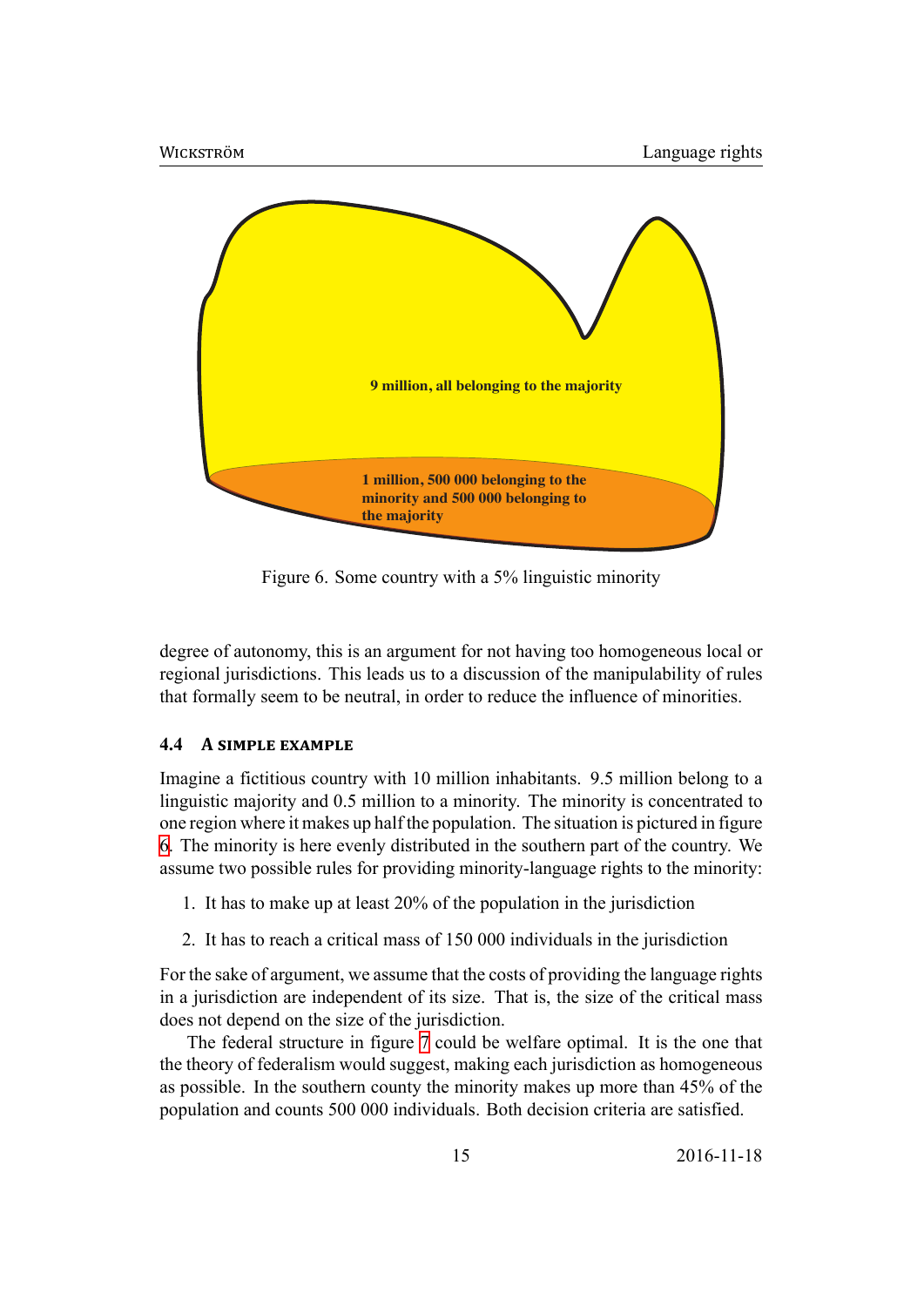

Figure 6. Some country with a 5% linguistic minority

degree of autonomy, this is an argument for not having too homogeneous local or regional jurisdictions. This leads us to a discussion of the manipulability of rules that formally seem to be neutral, in order to reduce the influence of minorities.

#### **4.4 A SIMPLE EXAMPLE**

Imagine a fictitious country with 10 million inhabitants. 9.5 million belong to a linguistic majority and 0.5 million to a minority. The minority is concentrated to one region where it makes up half the population. The situation is pictured in figure 6. The minority is here evenly distributed in the southern part of the country. We assume two possible rules for providing minority-language rights to the minority:

- 1. It has to make up at least 20% of the population in the jurisdiction
- 2. It has to reach a critical mass of 150 000 individuals in the jurisdiction

For the sake of argument, we assume that the costs of providing the language rights in a jurisdiction are independent of its size. That is, the size of the critical mass does not depend on the size of the jurisdiction.

The federal structure in figure 7 could be welfare optimal. It is the one that the theory of federalism would suggest, making each jurisdiction as homogeneous as possible. In the southern county the minority makes up more than 45% of the population and counts 500 000 ind[iv](#page-16-0)iduals. Both decision criteria are satisfied.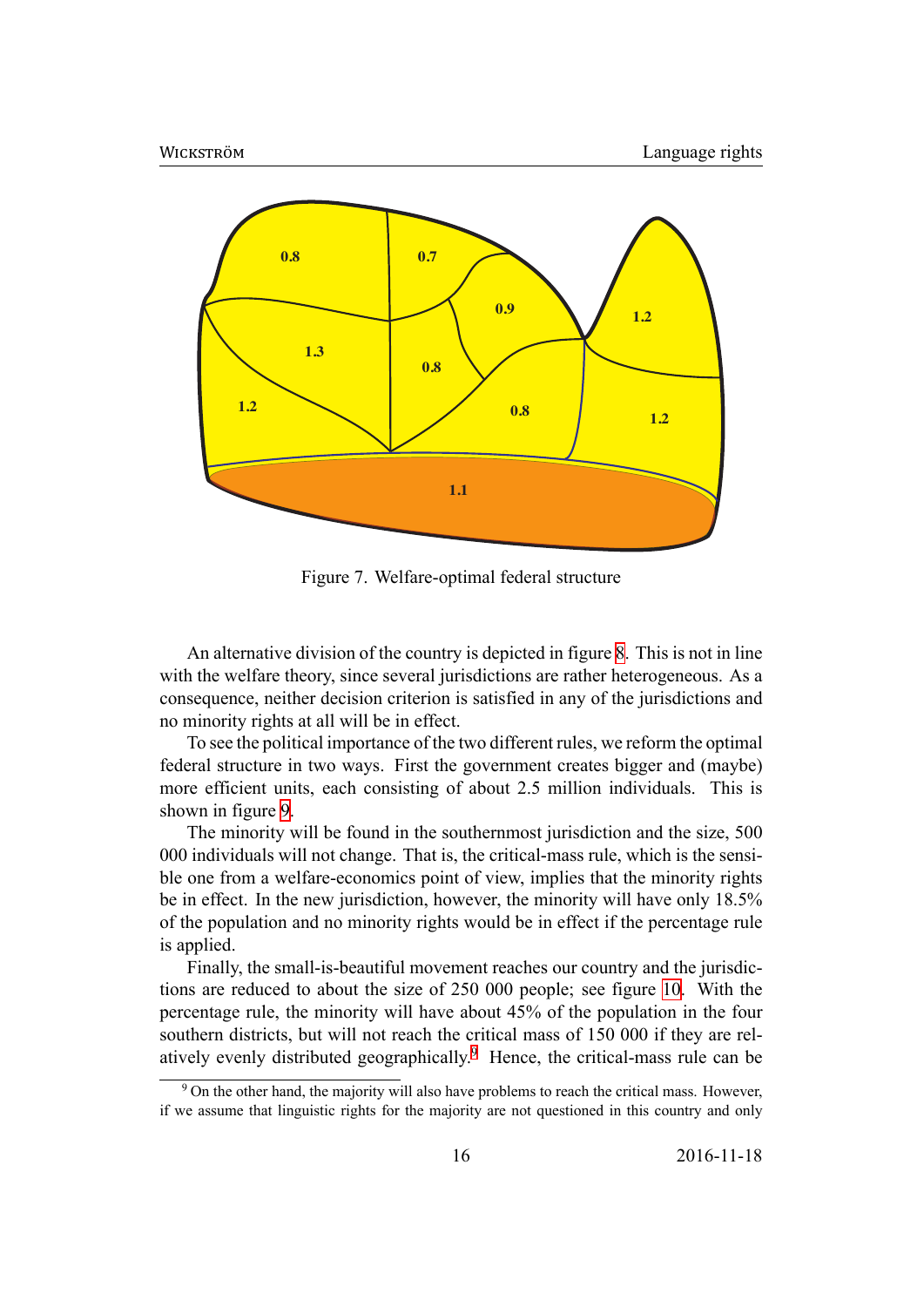<span id="page-16-0"></span>

Figure 7. Welfare-optimal federal structure

An alternative division of the country is depicted in figure 8. This is not in line with the welfare theory, since several jurisdictions are rather heterogeneous. As a consequence, neither decision criterion is satisfied in any of the jurisdictions and no minority rights at all will be in effect.

To see the political importance of the two different rules, w[e](#page-17-0) reform the optimal federal structure in two ways. First the government creates bigger and (maybe) more efficient units, each consisting of about 2.5 million individuals. This is shown in figure 9.

The minority will be found in the southernmost jurisdiction and the size, 500 000 individuals will not change. That is, the critical-mass rule, which is the sensible one from a [we](#page-17-1)lfare-economics point of view, implies that the minority rights be in effect. In the new jurisdiction, however, the minority will have only 18.5% of the population and no minority rights would be in effect if the percentage rule is applied.

Finally, the small-is-beautiful movement reaches our country and the jurisdictions are reduced to about the size of 250 000 people; see figure 10. With the percentage rule, the minority will have about 45% of the population in the four southern districts, but will not reach the critical mass of 150 000 if they are relatively evenly distributed geographically.<sup>9</sup> Hence, the critical-ma[ss r](#page-18-0)ule can be

<sup>&</sup>lt;sup>9</sup> On the other hand, the majority will also have problems to reach the critical mass. However, if we assume that linguistic rights for the majority are not questioned in this country and only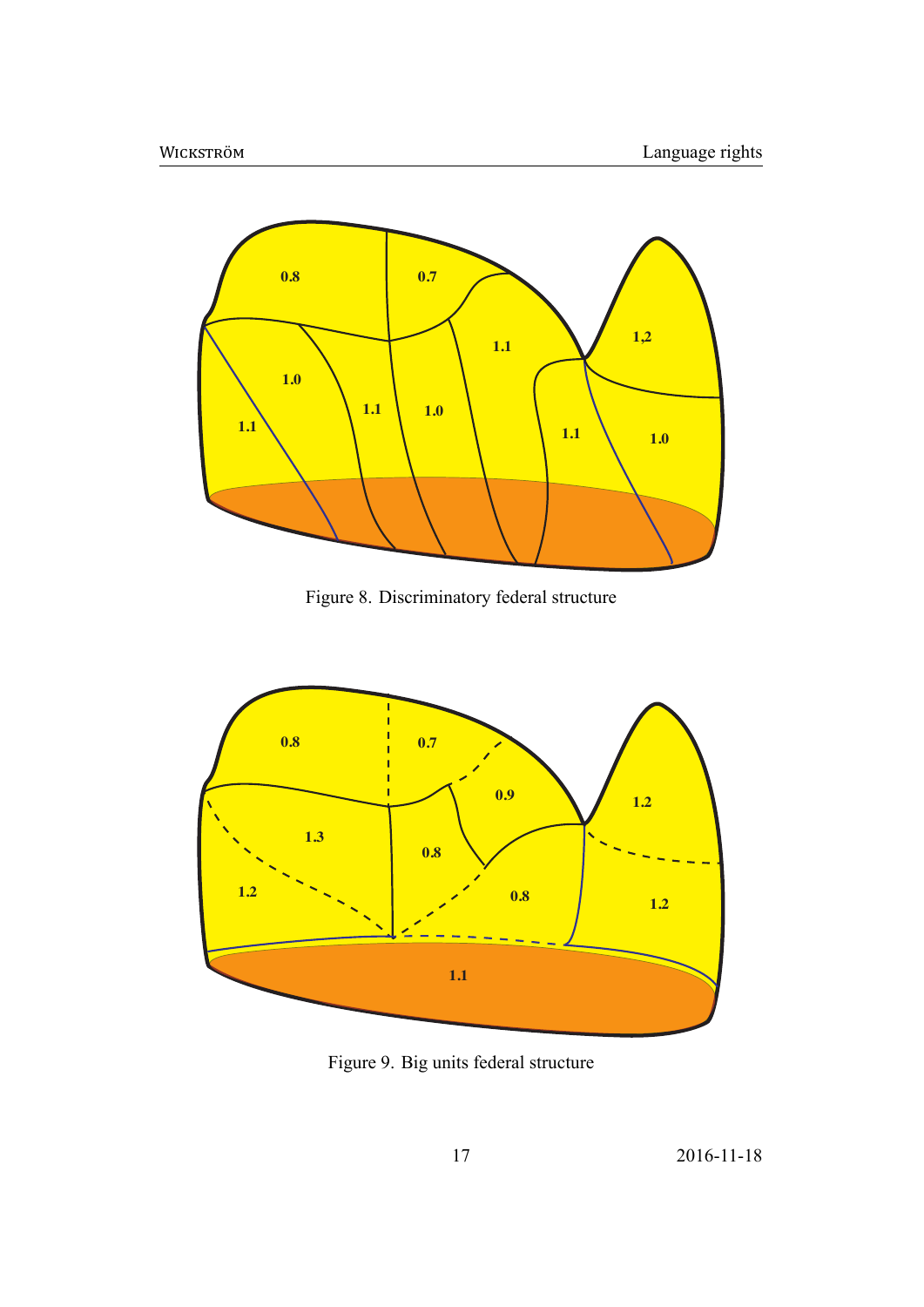<span id="page-17-0"></span>

Figure 8. Discriminatory federal structure

<span id="page-17-1"></span>

Figure 9. Big units federal structure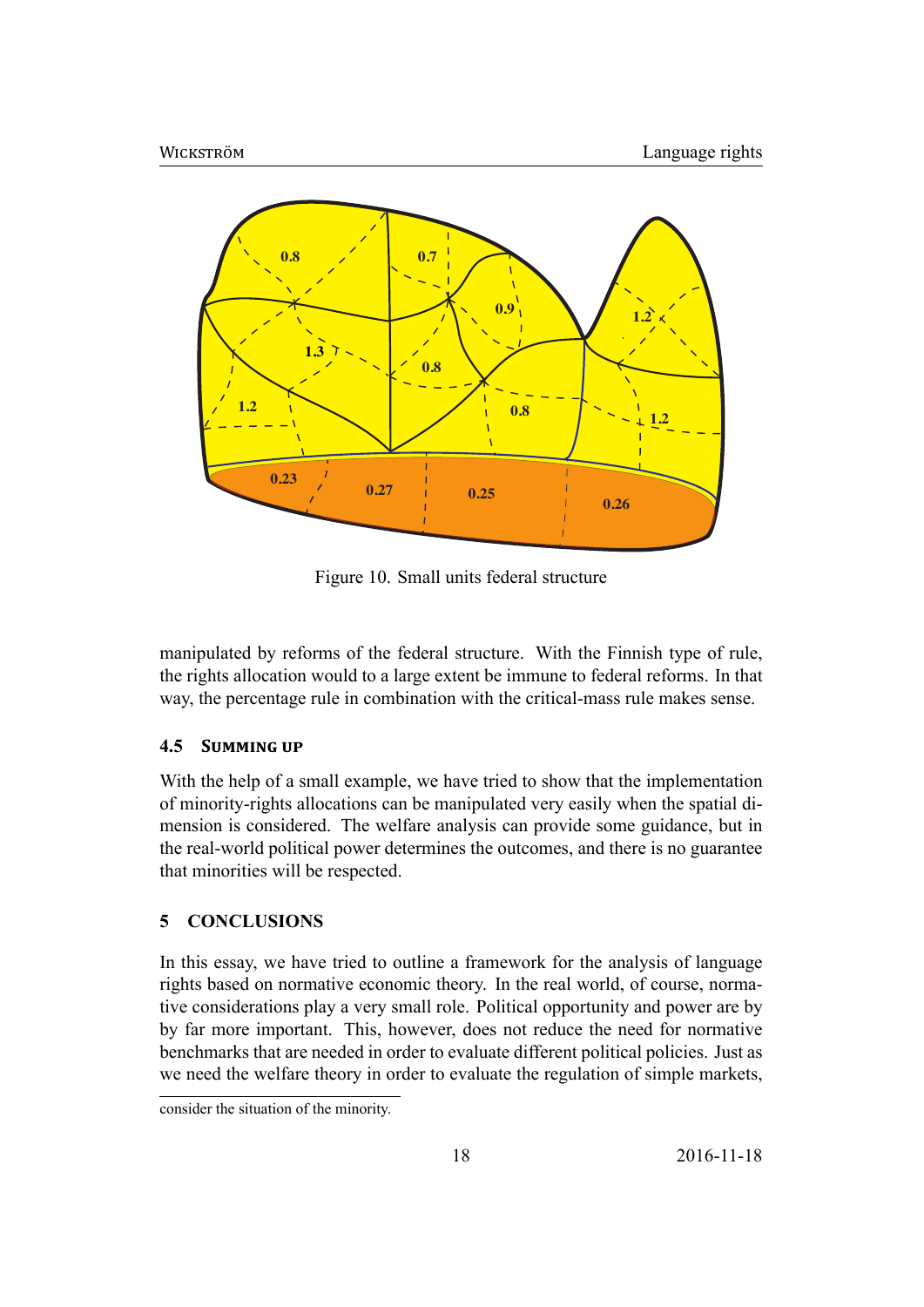<span id="page-18-0"></span>

Figure 10. Small units federal structure

manipulated by reforms of the federal structure. With the Finnish type of rule, the rights allocation would to a large extent be immune to federal reforms. In that way, the percentage rule in combination with the critical-mass rule makes sense.

#### **4.5 SUMMING UP**

With the help of a small example, we have tried to show that the implementation of minority-rights allocations can be manipulated very easily when the spatial dimension is considered. The welfare analysis can provide some guidance, but in the real-world political power determines the outcomes, and there is no guarantee that minorities will be respected.

#### **5 CONCLUSIONS**

In this essay, we have tried to outline a framework for the analysis of language rights based on normative economic theory. In the real world, of course, normative considerations play a very small role. Political opportunity and power are by by far more important. This, however, does not reduce the need for normative benchmarks that are needed in order to evaluate different political policies. Just as we need the welfare theory in order to evaluate the regulation of simple markets,

consider the situation of the minority.